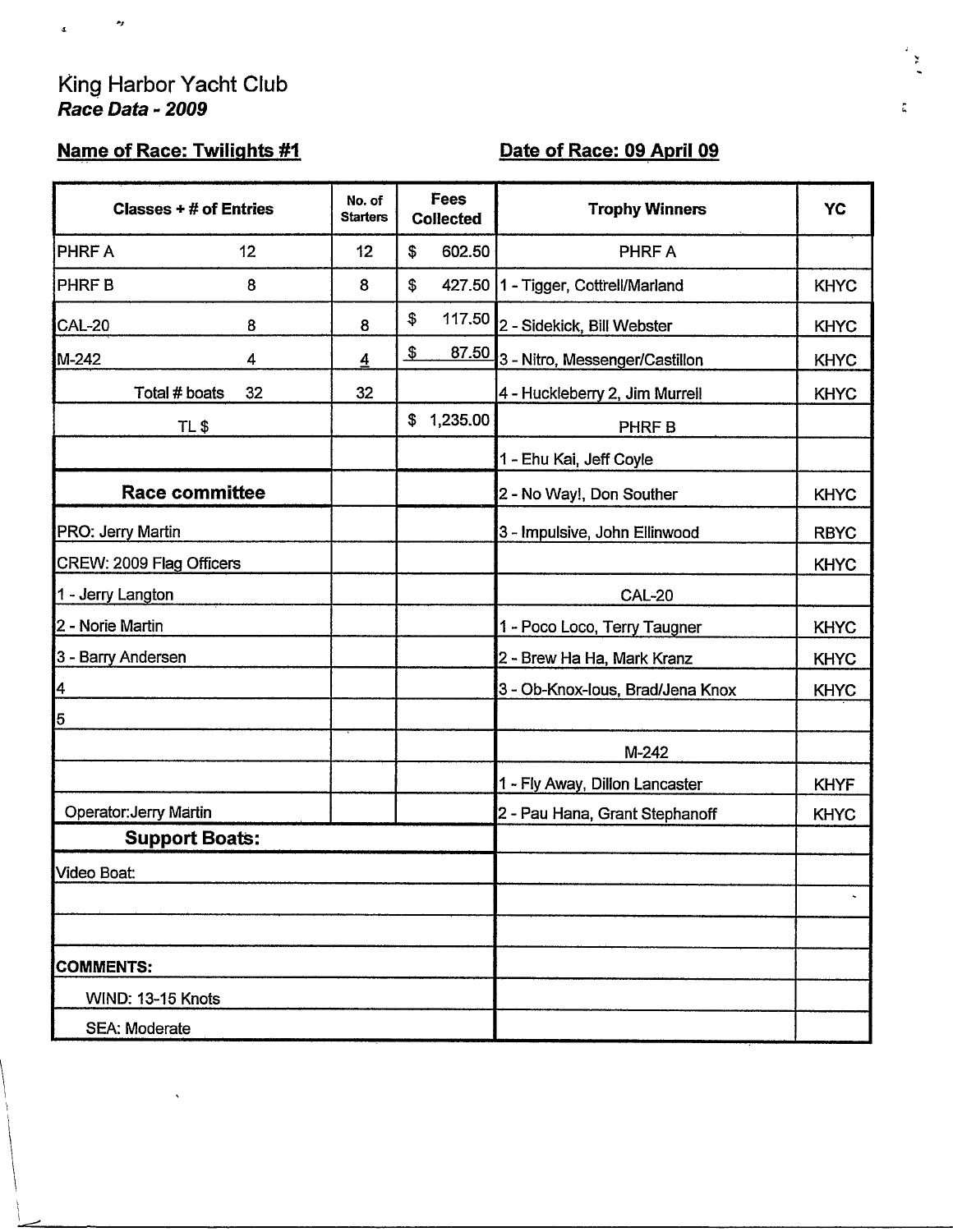# King Harbor Yacht Club<br>Race Data - 2009

 $\frac{1}{2}$ 

 $\bar{\mathbf{z}}$ 

## Name of Race: Twilights #1

## Date of Race: 09 April 09

| Classes $+$ # of Entries      |    | No. of<br><b>Starters</b> | Fees<br><b>Collected</b> |                                | <b>Trophy Winners</b>                 | YC          |
|-------------------------------|----|---------------------------|--------------------------|--------------------------------|---------------------------------------|-------------|
| PHRF A                        | 12 | 12                        | \$                       | 602.50                         | PHRF A                                |             |
| <b>PHRFB</b>                  | 8  | 8                         | \$                       |                                | 427.50   1 - Tigger, Cottrell/Marland | <b>KHYC</b> |
| CAL-20                        | 8  | 8                         | $\pmb{\$}$               |                                | 117.50 2 - Sidekick, Bill Webster     | <b>KHYC</b> |
| M-242                         | 4  | $\overline{4}$            | $\frac{3}{2}$            | <u>87.50</u>                   | 3 - Nitro, Messenger/Castillon        | <b>KHYC</b> |
| Total # boats                 | 32 | 32                        |                          |                                | 4 - Huckleberry 2, Jim Murrell        | <b>KHYC</b> |
| TL\$                          |    |                           | \$                       | 1,235.00                       | PHRF B                                |             |
|                               |    |                           |                          |                                | 1 - Ehu Kai, Jeff Coyle               |             |
| <b>Race committee</b>         |    |                           |                          |                                | 2 - No Way!, Don Souther              | <b>KHYC</b> |
| PRO: Jerry Martin             |    |                           |                          |                                | 3 - Impulsive, John Ellinwood         | <b>RBYC</b> |
| CREW: 2009 Flag Officers      |    |                           |                          |                                |                                       | <b>KHYC</b> |
| 1 - Jerry Langton             |    |                           |                          |                                | <b>CAL-20</b>                         |             |
| 2 - Norie Martin              |    |                           |                          |                                | 1 - Poco Loco, Terry Taugner          | <b>KHYC</b> |
| 3 - Barry Andersen            |    |                           |                          |                                | 2 - Brew Ha Ha, Mark Kranz            | <b>KHYC</b> |
| $\overline{\mathbf{r}}$       |    |                           |                          |                                | 3 - Ob-Knox-Ious, Brad/Jena Knox      | <b>KHYC</b> |
| 5                             |    |                           |                          |                                |                                       |             |
|                               |    |                           |                          |                                | $M-242$                               |             |
|                               |    |                           |                          |                                | 1 - Fly Away, Dillon Lancaster        | <b>KHYF</b> |
| <b>Operator: Jerry Martin</b> |    |                           |                          | 2 - Pau Hana, Grant Stephanoff | <b>KHYC</b>                           |             |
| <b>Support Boats:</b>         |    |                           |                          |                                |                                       |             |
| Video Boat:                   |    |                           |                          |                                |                                       |             |
|                               |    |                           |                          |                                |                                       | ×,          |
|                               |    |                           |                          |                                |                                       |             |
| <b>COMMENTS:</b>              |    |                           |                          |                                |                                       |             |
| WIND: 13-15 Knots             |    |                           |                          |                                |                                       |             |
| <b>SEA: Moderate</b>          |    |                           |                          |                                |                                       |             |

ř

 $\frac{\mu}{2\pi}$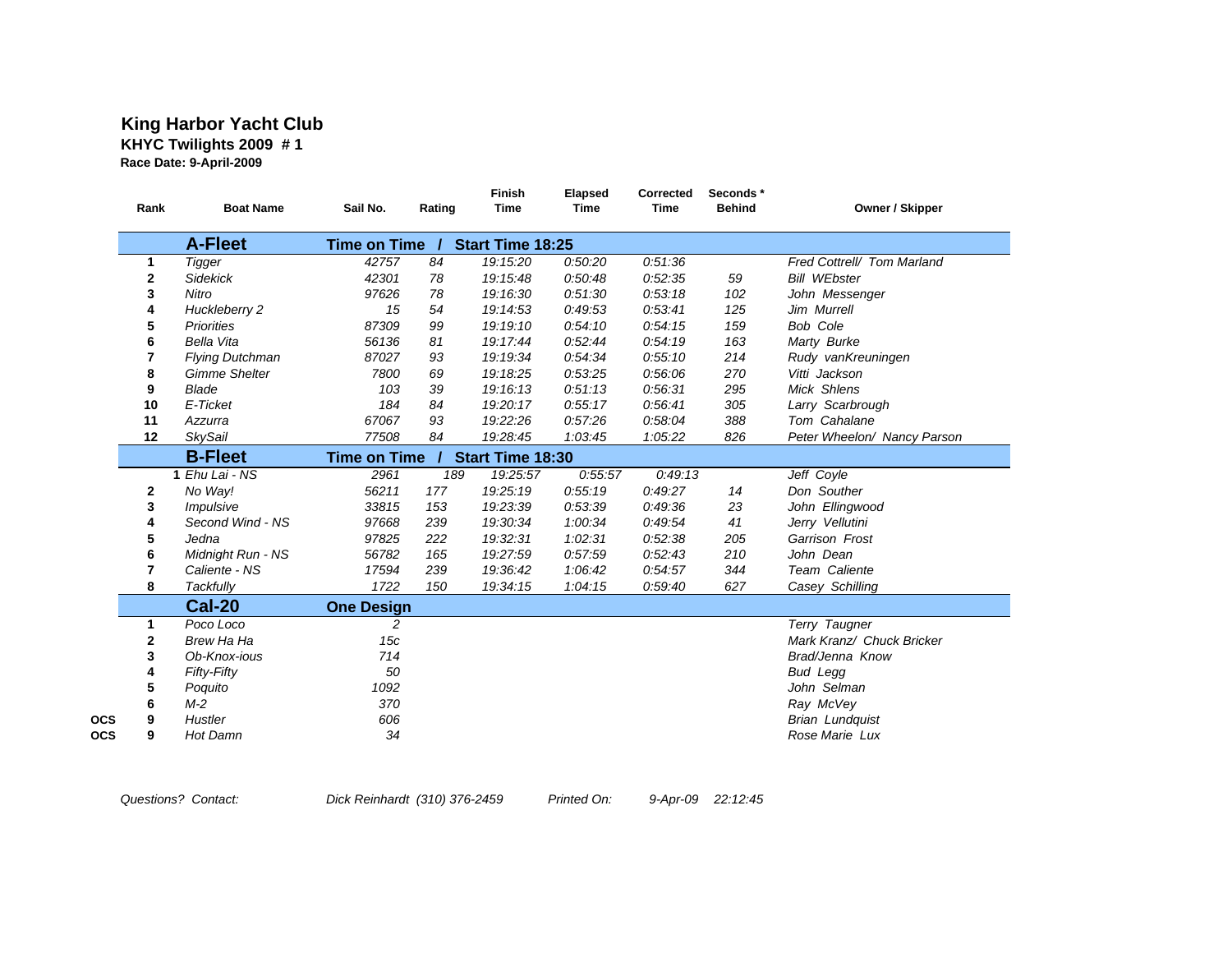#### **King Harbor Yacht Club KHYC Twilights 2009 # 1 Race Date: 9-April-2009**

| Rank                                                             | <b>Boat Name</b>     | Sail No.            | Rating | Finish<br><b>Time</b> | Elapsed<br><b>Time</b> | Corrected<br><b>Time</b> | Seconds*<br><b>Behind</b> | Owner / Skipper             |  |
|------------------------------------------------------------------|----------------------|---------------------|--------|-----------------------|------------------------|--------------------------|---------------------------|-----------------------------|--|
|                                                                  | <b>A-Fleet</b>       | <b>Time on Time</b> |        | Start Time 18:25      |                        |                          |                           |                             |  |
| 1                                                                | Tigger               | 42757               | 84     | 19:15:20              | 0:50:20                | 0:51:36                  |                           | Fred Cottrell/ Tom Marland  |  |
| 2                                                                | <b>Sidekick</b>      | 42301               | 78     | 19:15:48              | 0:50:48                | 0:52:35                  | 59                        | <b>Bill WEbster</b>         |  |
| 3                                                                | Nitro                | 97626               | 78     | 19:16:30              | 0:51:30                | 0:53:18                  | 102                       | John Messenger              |  |
| 4                                                                | Huckleberry 2        | 15                  | 54     | 19:14:53              | 0:49:53                | 0:53:41                  | 125                       | Jim Murrell                 |  |
| 5                                                                | <b>Priorities</b>    | 87309               | 99     | 19:19:10              | 0:54:10                | 0:54:15                  | 159                       | <b>Bob Cole</b>             |  |
| 6                                                                | <b>Bella Vita</b>    | 56136               | 81     | 19:17:44              | 0:52:44                | 0:54:19                  | 163                       | Marty Burke                 |  |
| 7                                                                | Flying Dutchman      | 87027               | 93     | 19:19:34              | 0:54:34                | 0:55:10                  | 214                       | Rudy vanKreuningen          |  |
| 8                                                                | <b>Gimme Shelter</b> | 7800                | 69     | 19:18:25              | 0:53:25                | 0:56:06                  | 270                       | Vitti Jackson               |  |
| 9                                                                | <b>Blade</b>         | 103                 | 39     | 19:16:13              | 0:51:13                | 0:56:31                  | 295                       | Mick Shlens                 |  |
| 10                                                               | E-Ticket             | 184                 | 84     | 19:20:17              | 0:55:17                | 0:56:41                  | 305                       | Larry Scarbrough            |  |
| 11                                                               | Azzurra              | 67067               | 93     | 19:22:26              | 0:57:26                | 0:58:04                  | 388                       | Tom Cahalane                |  |
| 12                                                               | <b>SkySail</b>       | 77508               | 84     | 19:28:45              | 1:03:45                | 1:05:22                  | 826                       | Peter Wheelon/ Nancy Parson |  |
| <b>B-Fleet</b><br><b>Time on Time</b><br><b>Start Time 18:30</b> |                      |                     |        |                       |                        |                          |                           |                             |  |
|                                                                  | $1$ Ehu Lai - NS     | 2961                | 189    | 19:25:57              | 0:55:57                | 0:49:13                  |                           | Jeff Coyle                  |  |
| 2                                                                | No Way!              | 56211               | 177    | 19:25:19              | 0:55:19                | 0:49:27                  | 14                        | Don Souther                 |  |
| 3                                                                | Impulsive            | 33815               | 153    | 19:23:39              | 0:53:39                | 0:49:36                  | 23                        | John Ellingwood             |  |
| 4                                                                | Second Wind - NS     | 97668               | 239    | 19:30:34              | 1:00:34                | 0:49:54                  | 41                        | Jerry Vellutini             |  |
| 5                                                                | Jedna                | 97825               | 222    | 19:32:31              | 1:02:31                | 0:52:38                  | 205                       | Garrison Frost              |  |
| 6                                                                | Midnight Run - NS    | 56782               | 165    | 19:27:59              | 0:57:59                | 0:52:43                  | 210                       | John Dean                   |  |
| 7                                                                | Caliente - NS        | 17594               | 239    | 19:36:42              | 1:06:42                | 0:54:57                  | 344                       | Team Caliente               |  |
| 8                                                                | Tackfully            | 1722                | 150    | 19:34:15              | 1:04:15                | 0:59:40                  | 627                       | Casey Schilling             |  |
|                                                                  | <b>Cal-20</b>        | <b>One Design</b>   |        |                       |                        |                          |                           |                             |  |
| 1                                                                | Poco Loco            | 2                   |        |                       |                        |                          |                           | Terry Taugner               |  |
| 2                                                                | Brew Ha Ha           | 15c                 |        |                       |                        |                          |                           | Mark Kranz/ Chuck Bricker   |  |
| 3                                                                | Ob-Knox-jous         | 714                 |        |                       |                        |                          |                           | Brad/Jenna Know             |  |
|                                                                  | <b>Fifty-Fifty</b>   | 50                  |        |                       |                        |                          |                           | <b>Bud Legg</b>             |  |
| 4                                                                |                      |                     |        |                       |                        |                          |                           |                             |  |
| 5                                                                | Poquito              | 1092                |        |                       |                        |                          |                           | John Selman                 |  |
| 6                                                                | $M-2$                | 370                 |        |                       |                        |                          |                           | Ray McVey                   |  |
| 9                                                                | Hustler              | 606                 |        |                       |                        |                          |                           | <b>Brian Lundquist</b>      |  |

*Questions? Contact: Dick Reinhardt (310) 376-2459 Printed On: 9-Apr-09 22:12:45*